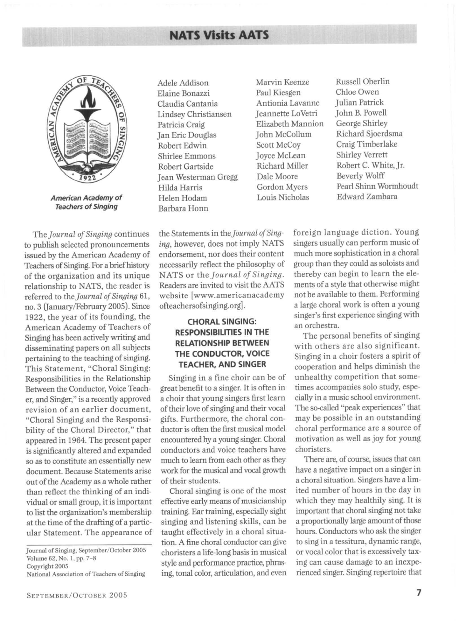# **NATS Visits AATS**



**American Academy of Teachers of Singing** 

*The Journal of Singing* continues to publish selected pronouncements issued by the American Academy of Teachers of Singing. For a brief history of the organization and its unique relationship to NATS, the reader is referred to the *journal of Singing 61,*  no.3 (January/February 2005). Since 1922, the year of its founding, the American Academy of Teachers of Singing has been actively writing and disseminating papers on all subjects pertaining to the teaching of singing. This Statement, "Choral Singing: Responsibilities in the Relationship Between the Conductor, Voice Teacher, and Singer," is a recently approved revision of an earlier document, "Choral Singing and the Responsibility of the Choral Director," that appeared in 1964. The present paper is significantly altered and expanded so as to constitute an essentially new document. Because Statements arise out of the Academy as a whole rather than reflect the thinking of an individual or small group, it is important to list the organization's membership at the time of the drafting of a particular Statement. The appearance of

SEPTEMBER/OCTOBER 2005

Elaine Bonazzi Paul Kiesgen Chloe Owen Claudia Cantania Antionia Lavanne Julian Patrick Lindsey Christiansen Jeannette LoVetri John B. Powell Patricia Craig Elizabeth Mannion George Shirley<br>
Ian Eric Douglas Iohn McCollum Richard Sjoerdsma Jan Eric Douglas John McCollum Robert Edwin Scott McCoy Craig Timberlake<br>
Shirlee Emmons Iovce McLean Shirley Verrett Shirlee Emmons Joyce McLean Robert Gartside Richard Miller Robert C. White, Jr.<br>
Jean Westerman Gregg Dale Moore Beverly Wolff Jean Westerman Gregg Dale Moore Helen Hodam Louis Nicholas Barbara Honn

Adele Addison Marvin Keenze Russell Oberlin Hilda Harris Gordon Myers Pearl Shinn Wormhoudt<br>Helen Hodam Louis Nicholas Edward Zambara

the Statements in *the Journal of Singing,* however, does not imply NATS endorsement, nor does their content necessarily reflect the philosophy of *NATS or the Journal of Singing.*  Readers are invited to visit the AATS website [www.americanacademy ofteachersofsinging.org].

# **CHORAL SINGING: RESPONSIBILITIES IN THE RELATIONSHIP BETWEEN THE CONDUCTOR, VOICE TEACHER, AND SINGER**

Singing in a fine choir can be of great benefit to a singer. It is often in a choir that young singers first learn of their love of singing and their vocal gifts. Furthermore, the choral conductor is often the first musical model encountered by a young singer. Choral conductors and voice teachers have much to learn from each other as they work for the musical and vocal growth of their students.

Choral singing is one of the most effective early means of musicianship training. Ear training, especially sight singing and listening skills, can be taught effectively in a choral situation. A fine choral conductor can give choristers a life-long basis in musical style and performance practice, phrasing, tonal color, articulation, and even

foreign language diction. Young singers usually can perform music of much more sophistication in a choral group than they could as soloists and thereby can begin to learn the elements of a style that otherwise might not be available to them. Performing a large choral work is often a young singer's first experience singing with an orchestra.

The personal benefits of singing with others are also significant. Singing in a choir fosters a spirit of cooperation and helps diminish the unhealthy competition that sometimes accompanies solo study, especially in a music school environment. The so-called "peak experiences" that may be possible in an outstanding choral performance are a source of motivation as well as joy for young choristers.

There are, of course, issues that can have a negative impact on a singer in a choral situation. Singers have a limited number of hours in the day in which they may healthily sing. It is important that choral singing not take a proportionally large amount of those hours. Conductors who ask the singer to sing in a tessitura, dynamic range, or vocal color that is excessively taxing can cause damage to an inexperienced singer. Singing repertoire that

Journal of Singing. September/October 2005 Volume 62, No. 1, pp. 7-5

Copyright 2005

National Association of Teachers of Singing